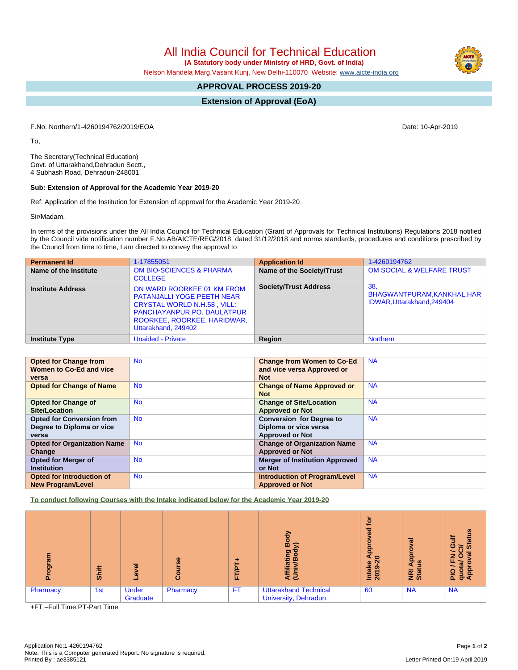All India Council for Technical Education

 **(A Statutory body under Ministry of HRD, Govt. of India)**

Nelson Mandela Marg,Vasant Kunj, New Delhi-110070 Website: [www.aicte-india.org](http://www.aicte-india.org)

# **APPROVAL PROCESS 2019-20**

**Extension of Approval (EoA)**

F.No. Northern/1-4260194762/2019/EOA Date: 10-Apr-2019

To,

The Secretary(Technical Education) Govt. of Uttarakhand,Dehradun Sectt., 4 Subhash Road, Dehradun-248001

#### **Sub: Extension of Approval for the Academic Year 2019-20**

Ref: Application of the Institution for Extension of approval for the Academic Year 2019-20

Sir/Madam,

In terms of the provisions under the All India Council for Technical Education (Grant of Approvals for Technical Institutions) Regulations 2018 notified by the Council vide notification number F.No.AB/AICTE/REG/2018 dated 31/12/2018 and norms standards, procedures and conditions prescribed by the Council from time to time, I am directed to convey the approval to

| <b>Permanent Id</b>      | 1-17855051                                                                                                                                                                                       | <b>Application Id</b>        | 1-4260194762                                                     |
|--------------------------|--------------------------------------------------------------------------------------------------------------------------------------------------------------------------------------------------|------------------------------|------------------------------------------------------------------|
| Name of the Institute    | <b>OM BIO-SCIENCES &amp; PHARMA</b><br><b>COLLEGE</b>                                                                                                                                            | Name of the Society/Trust    | OM SOCIAL & WELFARE TRUST                                        |
| <b>Institute Address</b> | ON WARD ROORKEE 01 KM FROM<br><b>PATANJALLI YOGE PEETH NEAR</b><br><b>CRYSTAL WORLD N.H.58, VILL:</b><br><b>PANCHAYANPUR PO. DAULATPUR</b><br>ROORKEE, ROORKEE, HARIDWAR,<br>Uttarakhand, 249402 | <b>Society/Trust Address</b> | 38.<br>BHAGWANTPURAM, KANKHAL, HAR<br>IDWAR, Uttarakhand, 249404 |
| <b>Institute Type</b>    | <b>Unaided - Private</b>                                                                                                                                                                         | Region                       | <b>Northern</b>                                                  |

| <b>Opted for Change from</b>       | <b>No</b> | <b>Change from Women to Co-Ed</b>     | <b>NA</b> |
|------------------------------------|-----------|---------------------------------------|-----------|
| Women to Co-Ed and vice            |           | and vice versa Approved or            |           |
| versa                              |           | <b>Not</b>                            |           |
| <b>Opted for Change of Name</b>    | <b>No</b> | <b>Change of Name Approved or</b>     | <b>NA</b> |
|                                    |           | <b>Not</b>                            |           |
| <b>Opted for Change of</b>         | <b>No</b> | <b>Change of Site/Location</b>        | <b>NA</b> |
| <b>Site/Location</b>               |           | <b>Approved or Not</b>                |           |
| <b>Opted for Conversion from</b>   | <b>No</b> | <b>Conversion for Degree to</b>       | <b>NA</b> |
| Degree to Diploma or vice          |           | Diploma or vice versa                 |           |
| versa                              |           | <b>Approved or Not</b>                |           |
| <b>Opted for Organization Name</b> | <b>No</b> | <b>Change of Organization Name</b>    | <b>NA</b> |
| Change                             |           | <b>Approved or Not</b>                |           |
| <b>Opted for Merger of</b>         | <b>No</b> | <b>Merger of Institution Approved</b> | <b>NA</b> |
| <b>Institution</b>                 |           | or Not                                |           |
| Opted for Introduction of          | <b>No</b> | <b>Introduction of Program/Level</b>  | <b>NA</b> |
| <b>New Program/Level</b>           |           | <b>Approved or Not</b>                |           |

**To conduct following Courses with the Intake indicated below for the Academic Year 2019-20**

| ಕಾ       | Shift | $\overline{\bullet}$<br>$\ddot{\mathbf{e}}$<br>- | 'Se<br>O<br>Ō | ш.        | ∞<br>ත<br>Ξ<br>n,<br>₹ē                              | ₫<br>τ<br>$\omega$<br>윤<br>$\circ$<br>Intake<br>2019-2 | ಸ<br>Ó<br>윤<br>ற<br>cτ<br><b>E</b> at | <b>Status</b><br>F<br>O<br>≃<br>w<br>z<br>u<br>w<br>å<br>운용 |
|----------|-------|--------------------------------------------------|---------------|-----------|------------------------------------------------------|--------------------------------------------------------|---------------------------------------|-------------------------------------------------------------|
| Pharmacy | 1st   | <b>Under</b><br>Graduate                         | Pharmacy      | <b>FT</b> | <b>Uttarakhand Technical</b><br>University, Dehradun | 60                                                     | <b>NA</b>                             | <b>NA</b>                                                   |

+FT –Full Time,PT-Part Time